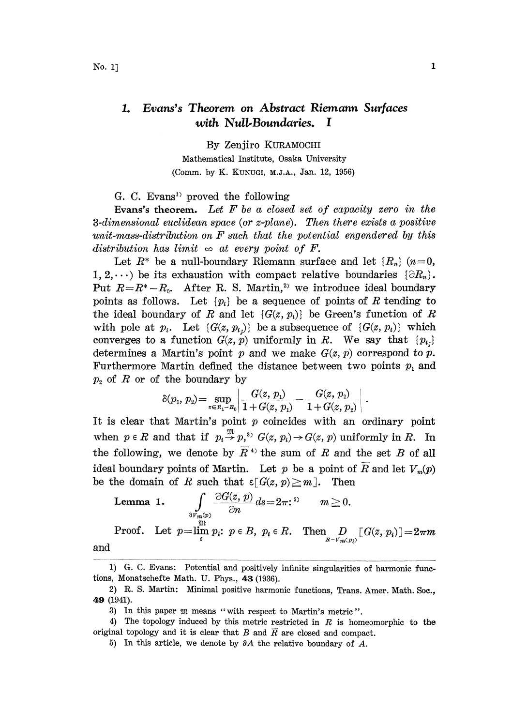## Evans's Theorem on Abstract Riemann Surfaces  $\mathbf{1}$ with Null.Boundaries. I

By Zenjiro KURAMOCHI Mathematical Institute, Osaka University (Comm. by K. KUNUGI, M.J.A., Jan. 12, 1956)

G. C. Evans<sup>1</sup> proved the following

Evans's theorem. Let  $F$  be a closed set of capacity zero in the  $3$ -dimensional euclidean space (or  $z$ -plane). Then there exists a positive unit-mass-distribution on F such that the potential engendered by this distribution has limit  $\infty$  at every point of F.

Let  $R^*$  be a null-boundary Riemann surface and let  $\{R_n\}$  ( $n=0$ , 1, 2,...) be its exhaustion with compact relative boundaries  $\{\partial R_n\}.$ Put  $R=R^*-R_0$ . After R. S. Martin,<sup>2</sup> we introduce ideal boundary points as follows. Let  $\{p_i\}$  be a sequence of points of R tending to the ideal boundary of R and let  $\{G(z, p_i)\}\)$  be Green's function of R with pole at  $p_i$ . Let  $\{G(z, p_i)\}\)$  be a subsequence of  $\{G(z, p_i)\}\$  which converges to a function  $G(z, p)$  uniformly in R. We say that  $\{p_i\}$ determines a Martin's point p and we make  $G(z, p)$  correspond to p. Furthermore Martin defined the distance between two points  $p_1$  and  $p_2$  of R or of the boundary by

$$
\delta(p_{\scriptscriptstyle 1},\, p_{\scriptscriptstyle 2}) \! = \! \sup_{z \in \scriptscriptstyle R_1 - R_0} \! \left| \frac{G(z,\, p_{\scriptscriptstyle 1})}{1\!+\!G(z,\, p_{\scriptscriptstyle 1})} \! - \! \frac{G(z,\, p_{\scriptscriptstyle 2})}{1\!+\!G(z,\, p_{\scriptscriptstyle 2})} \right| \, .
$$

It is clear that Martin's point  $p$  coincides with an ordinary point when  $p \in R$  and that if  $p_i \stackrel{\mathfrak{M}}{\rightarrow} p_j$ ,  $G(z, p_i) \rightarrow G(z, p)$  uniformly in R. In the following, we denote by  $\overline{R}$ <sup>4)</sup> the sum of R and the set B of all ideal boundary points of Martin. Let p be a point of  $\overline{R}$  and let  $V_m(p)$ be the domain of R such that  $\epsilon [G(z, p) \geq m]$ . Then

**Lemma 1.** 
$$
\int_{\substack{\partial V_m(p) \\ \text{on } \\ i}} \frac{\partial G(z, p)}{\partial n} ds = 2\pi
$$
  $\colon$   $m \ge 0$ .  
Proof. Let  $p = \lim_{i} p_i$ :  $p \in B$ ,  $p_i \in R$ . Then  $\underset{R = V_m(p_i)}{D} [G(z, p_i)] = 2\pi m$ 

and

<sup>1)</sup> G. C. Evans: Potential and positively infinite singularities of harmonic functions, Monatschefte Math. U. Phys., 43 (1936).

<sup>2)</sup> R. S. Martin: Minimal positive harmonic functions, Trans. Amer. Math. Soc., 49 (1941).

<sup>8)</sup> In this paper means "with respect to Martin's metric ".

<sup>4)</sup> The topology induced by this metric restricted in  $R$  is homeomorphic to the original topology and it is clear that B and  $\overline{R}$  are closed and compact.

<sup>5)</sup> In this article, we denote by  $\partial A$  the relative boundary of A.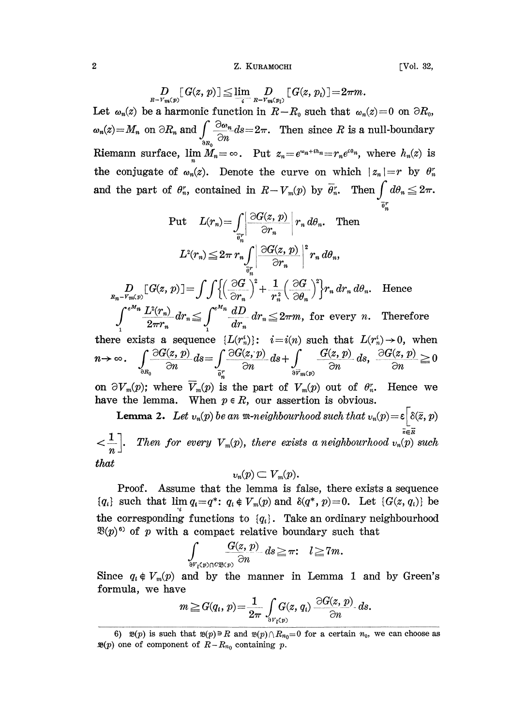## 2 Z. KURAMOCHI [Vol. 32,

$$
D_{R-V_m(p)}[G(z, p)] \leq \lim_{i} D_{P-V_m(p_i)}[G(z, p_i)] = 2\pi m.
$$
  
Let  $\omega_n(z)$  be a harmonic function in  $R-R_0$  such that  $\omega_n(z) = 0$  on  $\partial R_0$ ,  
 $\omega_n(z) = M_n$  on  $\partial R_n$  and  $\int_{\partial R_0} \frac{\partial \omega_n}{\partial n} ds = 2\pi$ . Then since R is a null-boundary  
Riemann surface,  $\lim_{n} M_n = \infty$ . Put  $z_n = e^{\omega_n + ih_n} = r_n e^{i\theta_n}$ , where  $h_n(z)$  is  
the conjugate of  $\omega_n(z)$ . Denote the curve on which  $|z_n| = r$  by  $\theta_n^r$   
and the part of  $\theta_n^r$ , contained in  $R-V_m(p)$  by  $\overline{\theta_n^r}$ . Then  $\int d\theta_n \leq 2\pi$ .

Put 
$$
L(r_n) = \int_{\overline{\theta}_n^r} \left| \frac{\partial G(z, p)}{\partial r_n} \right| r_n d\theta_n
$$
. Then  

$$
L^2(r_n) \leq 2\pi r_n \int_{\overline{\theta}_n^r} \left| \frac{\partial G(z, p)}{\partial r_n} \right|^2 r_n d\theta_n,
$$

 $\frac{D}{R_n-r_m(p)}[G(z, p)]=\int\int\left\{\left(\frac{\partial G}{\partial r_n}\right)+\frac{1}{r_n^2}\left(\frac{\partial G}{\partial \theta_n}\right)\right\}r_n dr_n d\theta_n$ . Hence  $\int_{1}^{e^{M_n}} \frac{L^2(r_n)}{2\pi r_n} dr_n \leq \int_{1}^{e^{M_n}} \frac{dD}{dr_n} dr_n \leq 2\pi m$ , for every *n*. Therefore

there exists a sequence  $\{L(r_n^i)\}\colon i=i(n)$  such that  $L(r_n^i)\to 0$ , when  $\int_{\frac{\partial R_0}{\partial n}} \frac{\partial G(x, p)}{\partial n} ds = \int_{\frac{\overline{\partial}r}{\partial n}} \frac{\partial G(x, p)}{\partial n} ds + \int_{\frac{\partial \overline{r}}{\partial n}(\rho)} \frac{G(x, p)}{\partial n} ds, \frac{\partial G(x, p)}{\partial n}$ 

on  $\partial V_m(p)$ ; where  $\overline{V}_m(p)$  is the part of  $V_m(p)$  out of  $\theta_n^r$ . Hence we have the lemma. When  $p \in R$ , our assertion is obvious.

**Lemma 2.** Let  $v_n(p)$  be an  $m\text{-}neighborhood such that  $v_n(p) = \varepsilon \left[ \delta(\bar{z}, p) \right]$$  $\left\{\frac{1}{n}\right\}$ . Then for every  $V_m(p)$ , there exists a neighbourhood  $v_n(p)$  such

that

$$
v_n(p) \subset V_m(p).
$$

Proof. Assume that the lemma is false, there exists a sequence  ${q_i}$  such that  $\lim_{n \to \infty} q_i = q^*$ :  $q_i \notin V_m(p)$  and  $\delta(q^*, p)=0$ . Let  ${G(z, q_i)}$  be the corresponding functions to  ${q_i}$ . Take an ordinary neighbourhood  $\mathfrak{B}(p)^{6}$  of p with a compact relative boundary such that

$$
\int_{\delta^{V_i}(p)\cap C\mathfrak{B}(p)}\frac{G(z,p)}{\partial n}ds\geq \pi\colon\quad l\geq 7m.
$$

Since  $q_i \notin V_m(p)$  and by the manner in Lemma 1 and by Green's formula, we have

$$
m \geq G(q_i, p) = \frac{1}{2\pi} \int_{\partial r_i(p)} G(z, q_i) \frac{\partial G(z, p)}{\partial n} ds.
$$

<sup>6)</sup>  $\mathfrak{B}(p)$  is such that  $\mathfrak{B}(p) \ni R$  and  $\mathfrak{B}(p)\cap R_{n_0}=0$  for a certain  $n_0$ , we can choose as  $\mathfrak{B}(p)$  one of component of  $R-R_{n_0}$  containing p.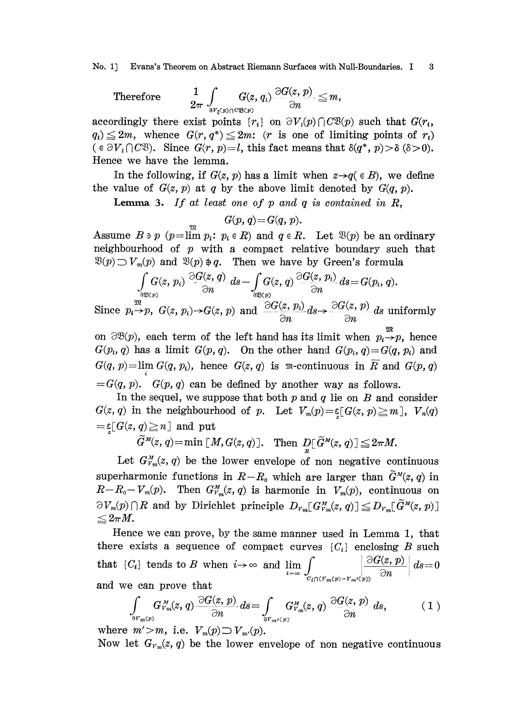No. 1] Evans's Theorem on Abstract Riemann Surfaces with Null-Boundaries. I 3

Therefore <sup>1</sup> \$ G(z, q) G(z, p) m, 2" n

accordingly there exist points  $\{r_i\}$  on  $\partial V_i(p) \cap C\mathfrak{B}(p)$  such that  $G(r_i,$  $q_i) \leq 2m$ , whence  $G(r, q^*) \leq 2m$ : (*r* is one of limiting points of  $r_i$ )  $(\epsilon \partial V_i \cap C\mathfrak{B})$ . Since  $G(r, p)=l$ , this fact means that  $\delta(q^*, p) > \delta(\delta > 0)$ . Hence we have the lemma.

In the following, if  $G(z, p)$  has a limit when  $z \rightarrow q \in B$ , we define the value of  $G(z, p)$  at q by the above limit denoted by  $G(q, p)$ .

Lemma 3. If at least one of  $p$  and  $q$  is contained in  $R$ ,

$$
G(p,q)\!=\!G(q,\,p).
$$

Assume  $B \ni p$  ( $p=\lim p_i: p_i \in R$ ) and  $q \in R$ . Let  $\mathfrak{B}(p)$  be an ordinary neighbourhood of  $p$  with a compact relative boundary such that  $\mathfrak{B}(p) \supset V_m(p)$  and  $\mathfrak{B}(p) \oplus q$ . Then we have by Green's formula

f G(z, 9n n Since pp, G(z, p)G(z, p) and 9G(z' p\*) -G(z' P)s uniformly n

on  $\partial \mathcal{B}(p)$ , each term of the left hand has its limit when  $p_i \rightarrow p$ , hence  $G(p_i, q)$  has a limit  $G(p, q)$ . On the other hand  $G(p_i, q) = G(q, p_i)$  and  $G(q, p) = \lim_{h \to 0} G(q, p)$ , hence  $G(z, q)$  is m-continuous in  $\overline{R}$  and  $G(p, q)$  $=G(q, p)$ .  $G(p, q)$  can be defined by another way as follows.

In the sequel, we suppose that both  $p$  and  $q$  lie on  $B$  and consider  $G(z, q)$  in the neighbourhood of p. Let  $V_m(p) = \xi[G(z, p) \ge m], V_n(q)$  $\mathcal{E}_{\substack{x\\ \sim}}[G(z, q){\geq}n]$  and put

 $\widetilde{G}^{\scriptscriptstyle M}(z,\,q)\!=\!\min\,[\,M,G(z,q)\,].\quad \text{Then }\ D_{\!\!R}^\Gamma\,\widetilde{G}^{\scriptscriptstyle M}(z,\,q)\,]\!\leq\!2\pi M.$ 

Let  $G_{\nu_m}^M(z, q)$  be the lower envelope of non negative continuous superharmonic functions in  $R-R_0$  which are larger than  $\tilde{G}^M(z, q)$  in  $R-R_0-V_m(p)$ . Then  $G_{V_m}^M(z, q)$  is harmonic in  $V_m(p)$ , continuous on  $\partial V_m(p) \cap R$  and by Dirichlet principle  $D_{V_m}[G_{V_m}^M(z, q)] \leq D_{V_m}[G^{M}(z, p)]$  $\leq 2\pi M.$ 

Hence we can prove, by the same manner used in Lemma 1, that there exists a sequence of compact curves  $\{C_i\}$  enclosing B such that  $\{C_i\}$  tends to B when  $i \to \infty$  and  $\lim_{i=\infty} \int_{C_i \cap (V_m(p) - V_m)'(p)} \frac{\partial G(z, p)}{\partial n} ds = 0$ and we can prove hat

$$
\int_{\partial V_m(p)} G_{V_m}^M(z, q) \frac{\partial G(z, p)}{\partial n} ds = \int_{\partial V_{m'}(p)} G_{V_m}^M(z, q) \frac{\partial G(z, p)}{\partial n} ds, \qquad (1)
$$

where  $m' > m$ , i.e.  $V_m(p) \supset V_{m'}(p)$ .

Now let  $G_{V_m}(z, q)$  be the lower envelope of non negative continuous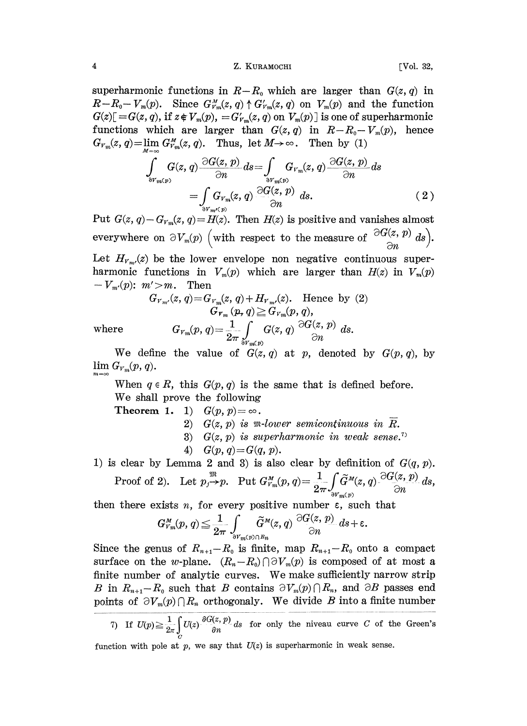## 4 **Z. KURAMOCHI** [Vol. 32,

superharmonic functions in  $R-R_0$  which are larger than  $G(z, q)$  in  $R-R_0-V_m(p)$ . Since  $G_{V_m}^M(z, q) \uparrow G_{V_m}(z, q)$  on  $V_m(p)$  and the function  $G(z)$ [= $G(z, q)$ , if  $z \notin V_m(p)$ , = $G'_{V_m}(z, q)$  on  $V_m(p)$ ] is one of superharmonic functions which are larger than  $G(z, q)$  in  $R-R_0-V_m(p)$ , hence  $G_{V_m}(z, q) = \lim_{M \to \infty} G_{V_m}^M(z, q)$ . Thus, let  $M \to \infty$ . Then by (1)

$$
\int_{\text{ov}_{m(p)}} G(z, q) \frac{\partial G(z, p)}{\partial n} ds = \int_{\text{ov}_{m(p)}} G_{V_m}(z, q) \frac{\partial G(z, p)}{\partial n} ds \n= \int_{\text{ov}_{m'(p)}} G_{V_m}(z, q) \frac{\partial G(z, p)}{\partial n} ds.
$$
\n(2)

Put  $G(z, q) - G_{y_m}(z, q) = H(z)$ . Then  $H(z)$  is positive and vanishes almost everywhere on  $\partial V_m(p)$  (with respect to the measure of  $\frac{\partial G(z, p)}{\partial n} ds$ ). Let  $H_{\nu_m}(z)$  be the lower envelope non negative continuous superharmonic functions in  $V_m(p)$  which are larger than  $H(z)$  in  $V_m(p)$ 

$$
-V_{m'}(p): m' \text{>m}.
$$
 Then

$$
G_{\scriptscriptstyle Y_{\scriptscriptstyle m'}}(z,q) \!=\! G_{\scriptscriptstyle Y_{\scriptscriptstyle m}}(z,q) \!+\! H_{\scriptscriptstyle Y_{\scriptscriptstyle m'}}(z). \quad \text{Hence by (2)}
$$
\n
$$
G_{\scriptscriptstyle Y_{\scriptscriptstyle m}}(p,q) \!\geq\! G_{\scriptscriptstyle Y_{\scriptscriptstyle m}}(p,q),
$$
\n
$$
G_{\scriptscriptstyle Y_{\scriptscriptstyle m}}(p,q) \!=\! \frac{1}{2\pi} \int\limits_{\delta\scriptscriptstyle Y_{\scriptscriptstyle m}(p)} G(z,q) \stackrel{\supseteq}{G(z,p)} ds.
$$

We define the value of  $G(z, q)$  at p, denoted by  $G(p, q)$ , by  $\lim G_{V_m}(p, q)$ .

 $\limsup_{T \to \infty} \frac{F(T)}{T}$  (*P*, *Q*).<br>When  $q \in R$ , this  $G(p, q)$  is the same that is defined before. We shall prove the following

Theorem 1. 1)  $G(p, p) = \infty$ .

2)  $G(z, p)$  is m-lower semicontinuous in R.

3)  $G(z, p)$  is superharmonic in weak sense.<sup>7)</sup>

- 4)  $G(p, q) = G(q, p)$ .
- 1) is clear by Lemma 2 and 3) is also clear by definition of  $G(q, p)$ . Proof of 2). Let  $p_j \to p$ . Put  $G_{V_m}^M(p, q) = \frac{1}{2\pi} \int_{\partial V_m(p)} \widetilde{G}^M(z, q) \cdot \frac{\partial G(z, p)}{\partial n} ds$ ,

then there exists *n*, for every positive number  $\varepsilon$ , such that

$$
G_{V_m}^M(p,q) \leq \frac{1}{2\pi}\int_{\partial V_m(p)\cap R_n}\widetilde{G}^M(z,q)\bigg|\frac{\partial G(z,p)}{\partial n}\,ds + \varepsilon.
$$

Since the genus of  $R_{n+1}-R_0$  is finite, map  $R_{n+1}-R_0$  onto a compact surface on the w-plane.  $(R_n-R_0)\cap \partial V_m(p)$  is composed of at most a finite number of analytic curves. We make sufficiently narrow strip B in  $R_{n+1}-R_0$  such that B contains  $\partial V_m(p)\cap R_n$ , and  $\partial B$  passes end points of  $\partial V_m(p) \cap R_n$  orthogonaly. We divide B into a finite number

 $T$ ) If  $U(p) \geq \frac{1}{2\pi} \int U(z) \frac{\partial G(z, p)}{\partial n} ds$  for only the niveau curve C of the Green's

function with pole at  $p$ , we say that  $U(z)$  is superharmonic in weak sense.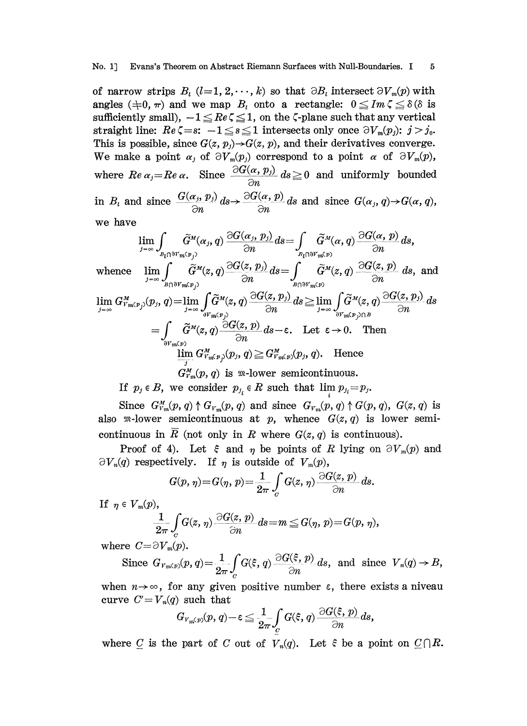of narrow strips  $B_i$   $(l=1, 2, \dots, k)$  so that  $\partial B_i$  intersect  $\partial V_m(p)$  with angles  $(\pm 0, \pi)$  and we map  $B_i$  onto a rectangle:  $0 \leq Im \zeta \leq \delta$  ( $\delta$  is sufficiently small),  $-1 \leq Re \zeta \leq 1$ , on the  $\zeta$ -plane such that any vertical straight line:  $Re \zeta = s$ :  $-1 \le s \le 1$  intersects only once  $\partial V_m(p_i)$ :  $j > j_0$ . This is possible, since  $G(z, p_j) \rightarrow G(z, p)$ , and their derivatives converge. We make a point  $\alpha_j$  of  $\partial V_m(p_j)$  correspond to a point  $\alpha$  of  $\partial V_m(p)$ , where  $\text{Re } \alpha_j = \text{Re } \alpha$ . Since  $\frac{\partial G(\alpha, p_j)}{\partial n} ds \geq 0$  and uniformly bounded in  $B_i$  and since  $\frac{G(\alpha_j, p_j)}{\partial n} ds \to \frac{\partial G(\alpha, p)}{\partial n} ds$  and since  $G(\alpha_j, q) \to G(\alpha, q)$ ,

we have

$$
\lim_{j_{-\infty}} \int_{B_{\tilde{r}}(\tilde{r}^M(\alpha_j, q))} \tilde{G}^M(\alpha_j, p_j) ds = \int_{B_{\tilde{r}}(\tilde{r}^M(\alpha, q))} \tilde{G}^M(\alpha, p) ds,
$$
\nwhere\n
$$
\lim_{j_{-\infty}} \int_{B_{\tilde{r}}(\tilde{r}^M(\alpha, q))} \tilde{G}^M(\alpha, q) \frac{\partial G(\alpha, p_j)}{\partial n} ds = \int_{B_{\tilde{r}}(\tilde{r}^M(\alpha, q))} \tilde{G}^M(\alpha, q) \frac{\partial G(\alpha, p_j)}{\partial n} ds, \text{ and}
$$
\n
$$
\lim_{j_{-\infty}} G^M_{r_m(p_j)}(p_j, q) = \lim_{j_{-\infty}} \int_{\tilde{r}^M(\alpha, q)} \tilde{G}^M(\alpha, q) \frac{\partial G(\alpha, p_j)}{\partial n} ds \ge \lim_{j_{-\infty}} \int_{\tilde{r}^M(\alpha, q)} \tilde{G}^M(\alpha, q) \frac{\partial G(\alpha, p_j)}{\partial n} ds
$$
\n
$$
= \int_{\tilde{r}^M(\alpha, q)} \tilde{G}^M(\alpha, q) \frac{\partial G(\alpha, p_j)}{\partial n} ds - \varepsilon. \text{ Let } \varepsilon \to 0. \text{ Then}
$$
\n
$$
\lim_{j_{-\infty}} G^M_{r_m(p_j)}(p_j, q) \ge G^M_{r_m(p_j)}(p_j, q).
$$
\nHence\n
$$
G^M_{r_m}(p, q) \text{ is } m\text{-lower semicontinuous.}
$$

If  $p_j \in B$ , we consider  $p_{j_i} \in R$  such that  $\lim_{j \to \infty} p_{j_i} = p_j$ .

Since  $G_{V_m}^M(p, q) \uparrow G_{V_m}(p, q)$  and since  $G_{V_m}(p, q) \uparrow G(p, q)$ ,  $G(z, q)$  is also m-lower semicontinuous at p, whence  $G(z, q)$  is lower semicontinuous in R (not only in R where  $G(z, q)$  is continuous).

Proof of 4). Let  $\xi$  and  $\eta$  be points of R lying on  $\partial V_m(p)$  and  $\partial V_n(q)$  respectively. If  $\eta$  is outside of  $V_m(p)$ ,

$$
G(p, \eta) = G(\eta, p) = \frac{1}{2\pi} \int_{C} G(z, \eta) \frac{\partial G(z, p)}{\partial n} ds.
$$

If  $\eta \in V_m(p)$ ,

$$
\frac{1}{2\pi}\int\limits_{\mathcal C}G(z,\,\eta)\,\frac{\partial G(z,\,p)}{\partial n}\,ds\!=\!m\leqq G(\eta,\,p)\!=\!G(p,\,\eta),
$$

where  $C = \partial V_m(p)$ .

Since 
$$
G_{v_m(p)}(p,q) = \frac{1}{2\pi} \int_{c} G(\xi, q) \frac{\partial G(\xi, p)}{\partial n} ds
$$
, and since  $V_n(q) \to B$ ,

when  $n \rightarrow \infty$ , for any given positive number  $\varepsilon$ , there exists a niveau curve  $C'=V_n(q)$  such that

$$
G_{\hskip.05em \mid\! \nu_{m^{\zeta}} \hskip.05em \mid\! p)}(p,q)\!-\!\varepsilon\!\leq\!\frac{1}{2\pi}\!\int\limits_{\mathcal{C}}G(\xi,q)\frac{\partial G(\xi,p)}{\partial n}ds,
$$

where C is the part of C out of  $V_n(q)$ . Let  $\hat{\epsilon}$  be a point on  $\underline{C}\cap R$ .